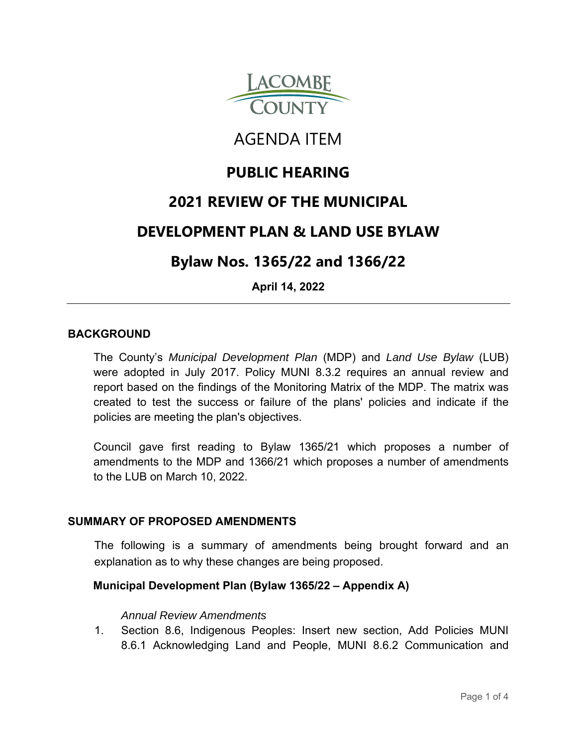

# AGENDA ITEM

## **PUBLIC HEARING**

### **2021 REVIEW OF THE MUNICIPAL**

### **DEVELOPMENT PLAN & LAND USE BYLAW**

### **Bylaw Nos. 1365/22 and 1366/22**

**April 14, 2022**

#### **BACKGROUND**

The County's *Municipal Development Plan* (MDP) and *Land Use Bylaw* (LUB) were adopted in July 2017. Policy MUNI 8.3.2 requires an annual review and report based on the findings of the Monitoring Matrix of the MDP. The matrix was created to test the success or failure of the plans' policies and indicate if the policies are meeting the plan's objectives.

Council gave first reading to Bylaw 1365/21 which proposes a number of amendments to the MDP and 1366/21 which proposes a number of amendments to the LUB on March 10, 2022.

#### **SUMMARY OF PROPOSED AMENDMENTS**

The following is a summary of amendments being brought forward and an explanation as to why these changes are being proposed.

### **Municipal Development Plan (Bylaw 1365/22 – Appendix A)**

#### *Annual Review Amendments*

1. Section 8.6, Indigenous Peoples: Insert new section, Add Policies MUNI 8.6.1 Acknowledging Land and People, MUNI 8.6.2 Communication and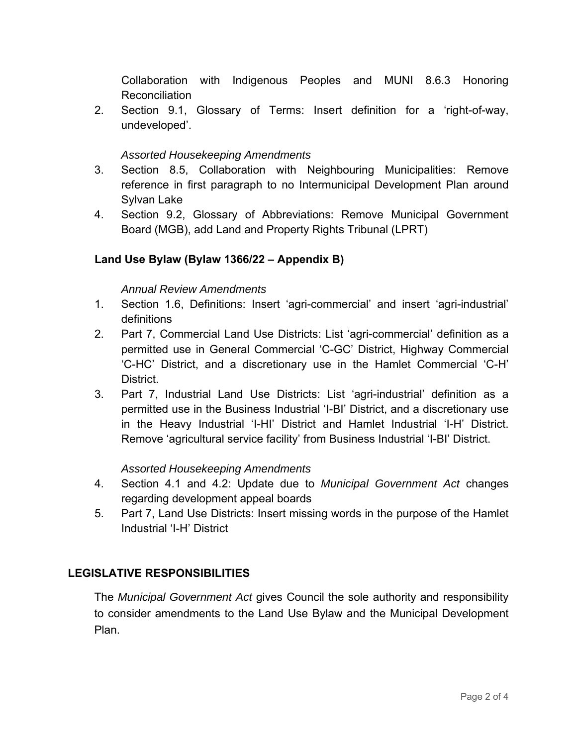Collaboration with Indigenous Peoples and MUNI 8.6.3 Honoring Reconciliation

2. Section 9.1, Glossary of Terms: Insert definition for a 'right-of-way, undeveloped'.

#### *Assorted Housekeeping Amendments*

- 3. Section 8.5, Collaboration with Neighbouring Municipalities: Remove reference in first paragraph to no Intermunicipal Development Plan around Sylvan Lake
- 4. Section 9.2, Glossary of Abbreviations: Remove Municipal Government Board (MGB), add Land and Property Rights Tribunal (LPRT)

#### **Land Use Bylaw (Bylaw 1366/22 – Appendix B)**

#### *Annual Review Amendments*

- 1. Section 1.6, Definitions: Insert 'agri-commercial' and insert 'agri-industrial' definitions
- 2. Part 7, Commercial Land Use Districts: List 'agri-commercial' definition as a permitted use in General Commercial 'C-GC' District, Highway Commercial 'C-HC' District, and a discretionary use in the Hamlet Commercial 'C-H' District.
- 3. Part 7, Industrial Land Use Districts: List 'agri-industrial' definition as a permitted use in the Business Industrial 'I-BI' District, and a discretionary use in the Heavy Industrial 'I-HI' District and Hamlet Industrial 'I-H' District. Remove 'agricultural service facility' from Business Industrial 'I-BI' District.

#### *Assorted Housekeeping Amendments*

- 4. Section 4.1 and 4.2: Update due to *Municipal Government Act* changes regarding development appeal boards
- 5. Part 7, Land Use Districts: Insert missing words in the purpose of the Hamlet Industrial 'I-H' District

#### **LEGISLATIVE RESPONSIBILITIES**

The *Municipal Government Act* gives Council the sole authority and responsibility to consider amendments to the Land Use Bylaw and the Municipal Development Plan.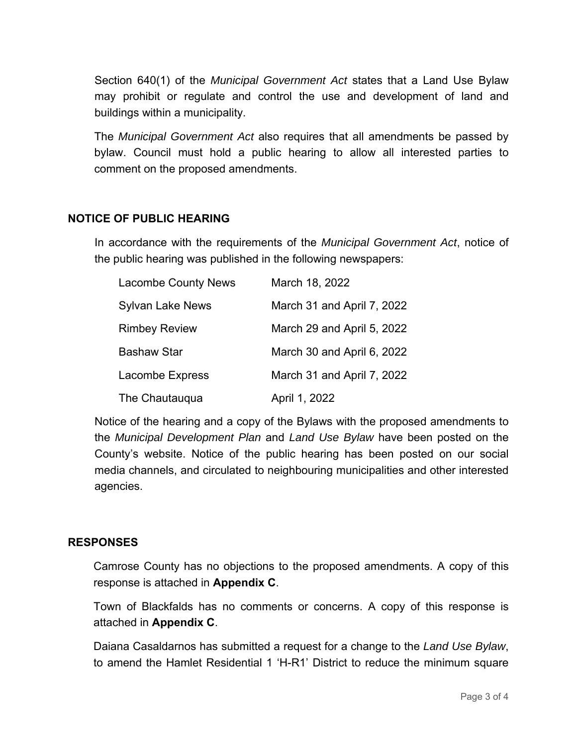Section 640(1) of the *Municipal Government Act* states that a Land Use Bylaw may prohibit or regulate and control the use and development of land and buildings within a municipality.

The *Municipal Government Act* also requires that all amendments be passed by bylaw. Council must hold a public hearing to allow all interested parties to comment on the proposed amendments.

#### **NOTICE OF PUBLIC HEARING**

In accordance with the requirements of the *Municipal Government Act*, notice of the public hearing was published in the following newspapers:

| <b>Lacombe County News</b> | March 18, 2022             |
|----------------------------|----------------------------|
| <b>Sylvan Lake News</b>    | March 31 and April 7, 2022 |
| <b>Rimbey Review</b>       | March 29 and April 5, 2022 |
| <b>Bashaw Star</b>         | March 30 and April 6, 2022 |
| <b>Lacombe Express</b>     | March 31 and April 7, 2022 |
| The Chautauqua             | April 1, 2022              |

Notice of the hearing and a copy of the Bylaws with the proposed amendments to the *Municipal Development Plan* and *Land Use Bylaw* have been posted on the County's website. Notice of the public hearing has been posted on our social media channels, and circulated to neighbouring municipalities and other interested agencies.

#### **RESPONSES**

Camrose County has no objections to the proposed amendments. A copy of this response is attached in **Appendix C**.

Town of Blackfalds has no comments or concerns. A copy of this response is attached in **Appendix C**.

Daiana Casaldarnos has submitted a request for a change to the *Land Use Bylaw*, to amend the Hamlet Residential 1 'H-R1' District to reduce the minimum square